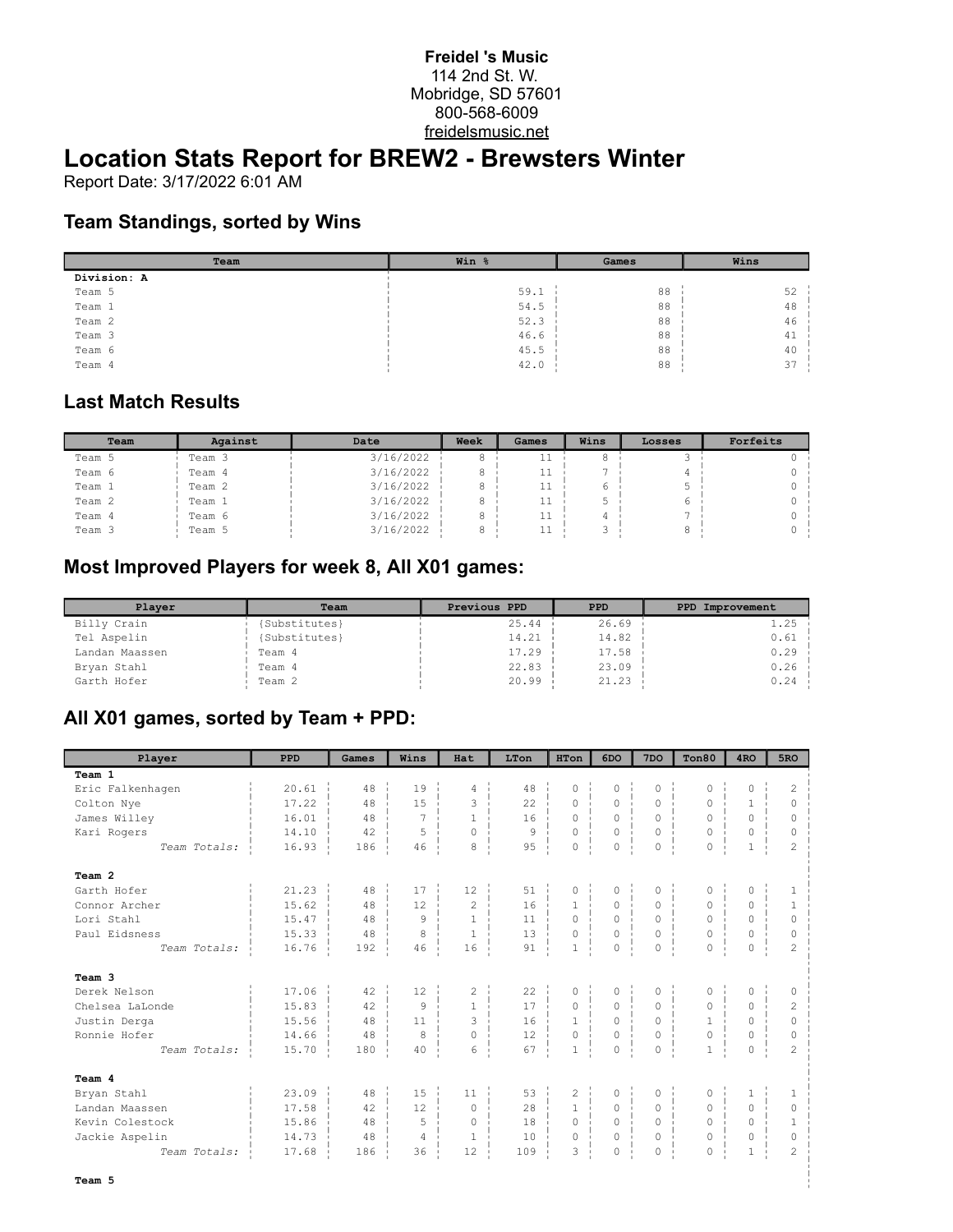#### **Freidel 's Music** 114 2nd St. W. Mobridge, SD 57601 800-568-6009 freidelsmusic.net

# **Location Stats Report for BREW2 - Brewsters Winter**

Report Date: 3/17/2022 6:01 AM

### **Team Standings, sorted by Wins**

| Team        | Win % | Games | Wins |  |  |
|-------------|-------|-------|------|--|--|
| Division: A |       |       |      |  |  |
| Team 5      | 59.1  | 88    | 52   |  |  |
| Team 1      | 54.5  | 88    | 48   |  |  |
| Team 2      | 52.3  | 88    | 46   |  |  |
| Team 3      | 46.6  | 88    | 41   |  |  |
| Team 6      | 45.5  | 88    | 40   |  |  |
| Team 4      | 42.0  | 88    | 37   |  |  |

#### **Last Match Results**

| Team   | Against | Date      | Week | Games | Wins | Losses | Forfeits |
|--------|---------|-----------|------|-------|------|--------|----------|
| Team 5 | Team 3  | 3/16/2022 |      | ᆂᆂ    |      |        |          |
| Team 6 | Team 4  | 3/16/2022 |      | ᆂᆂ    |      |        |          |
| Team 1 | Team 2  | 3/16/2022 |      | 11    | 6    |        |          |
| Team 2 | Team 1  | 3/16/2022 |      | 11    |      |        |          |
| Team 4 | Team 6  | 3/16/2022 |      | 11    |      |        |          |
| Team 3 | Team 5  | 3/16/2022 |      | ᆂᆂ    |      |        |          |

## **Most Improved Players for week 8, All X01 games:**

| Player         | Team          | Previous PPD | <b>PPD</b> | PPD Improvement |
|----------------|---------------|--------------|------------|-----------------|
| Billy Crain    | (Substitutes) | 25.44        | 26.69      | $1.25 -$        |
| Tel Aspelin    | (Substitutes) | 14.21        | 14.82      | $0.61$ i        |
| Landan Maassen | Team 4        | 17.29        | 17.58      | $0.29$ i        |
| Bryan Stahl    | Team 4        | 22.83        | 23.09      | $0.26$ i        |
| Garth Hofer    | Team 2        | 20.99        | 21.23      | $0.24 -$        |

# **All X01 games, sorted by Team + PPD:**

| Player           | PPD   | Games | Wins           | Hat            | LTon           | <b>HTon</b>             | 6DO      | 7 <sub>DO</sub>           | Ton80        | 4 <sub>RO</sub> | 5 <sub>RO</sub> |
|------------------|-------|-------|----------------|----------------|----------------|-------------------------|----------|---------------------------|--------------|-----------------|-----------------|
| Team 1           |       |       |                |                |                |                         |          |                           |              |                 |                 |
| Eric Falkenhagen | 20.61 | 48    | 19             | 4              | 48             | $\Omega$                | $\Omega$ | $\Omega$                  | $\Omega$     | 0               | $\overline{c}$  |
| Colton Nye       | 17.22 | 48    | 15             | 3              | 22             | 0                       | $\Omega$ | $\Omega$                  | $\Omega$     | $\mathbf{1}$    | $\circ$         |
| James Willey     | 16.01 | 48    | 7              | $\mathbf{1}$   | 16             | $\Omega$                | $\Omega$ | $\Omega$                  | 0            | $\Omega$        | 0               |
| Kari Rogers      | 14.10 | 42    | 5              | $\Omega$       | $\overline{9}$ | $\Omega$                | $\Omega$ | $\circ$                   | 0            | 0               | 0               |
| Team Totals:     | 16.93 | 186   | 46             | 8              | 95             | 0                       | 0        | $\circ$<br>$\blacksquare$ | 0            | $\mathbf{1}$    | $\overline{c}$  |
| Team 2           |       |       |                |                |                |                         |          |                           |              |                 |                 |
| Garth Hofer      | 21.23 | 48    | 17             | 12             | 51             | 0                       | $\circ$  | $\mathsf{O}\xspace$       | 0            | 0               | $\mathbf{1}$    |
| Connor Archer    | 15.62 | 48    | 12             | $\mathfrak{D}$ | 16             | $\mathbf{1}$            | $\Omega$ | $\Omega$                  | $\Omega$     | $\Omega$        | $\mathbf{1}$    |
| Lori Stahl       | 15.47 | 48    | 9              | $\mathbf{1}$   | 11             | $\Omega$                | $\Omega$ | $\Omega$                  | $\Omega$     | $\Omega$        | $\circ$         |
| Paul Eidsness    | 15.33 | 48    | 8              | $\mathbf{1}$   | 13             | $\circ$<br>$\mathbb{R}$ | $\circ$  | $\circ$<br>$\mathbf{I}$   | 0            | 0               | 0               |
| Team Totals:     | 16.76 | 192   | 46             | 16             | 91             | $\mathbf{1}$            | $\circ$  | $\circ$                   | $\circ$      | 0               | $\overline{2}$  |
| Team 3           |       |       |                |                |                |                         |          |                           |              |                 |                 |
| Derek Nelson     | 17.06 | 42    | 12             | 2              | 22             | 0                       | 0        | 0                         | 0            | 0               | 0               |
| Chelsea LaLonde  | 15.83 | 42    | 9              | $\mathbf{1}$   | 17             | $\Omega$                | $\Omega$ | $\Omega$                  | $\Omega$     | $\Omega$        | $\overline{c}$  |
| Justin Derga     | 15.56 | 48    | 11             | 3              | 16             | $\mathbf{1}$            | 0        | 0                         | $\mathbf{1}$ | 0               | $\circ$         |
| Ronnie Hofer     | 14.66 | 48    | 8              | $\circ$        | 12             | $\circ$                 | $\circ$  | $\circ$                   | 0            | 0               | $\circ$         |
| Team Totals:     | 15.70 | 180   | 40             | 6              | 67             | $\mathbf 1$             | 0        | 0                         | $\mathbf 1$  | 0               | $\overline{c}$  |
| Team 4           |       |       |                |                |                |                         |          |                           |              |                 |                 |
| Bryan Stahl      | 23.09 | 48    | 15             | 11             | 53             | $\overline{c}$          | $\Omega$ | $\circ$                   | $\circ$      | $\mathbf{1}$    | $\mathbf{1}$    |
| Landan Maassen   | 17.58 | 42    | 12             | $\circ$        | 28             | $\mathbf{1}$            | 0        | $\circ$                   | 0            | $\circ$         | $\circ$         |
| Kevin Colestock  | 15.86 | 48    | 5              | $\circ$        | 18             | $\Omega$                | $\Omega$ | $\Omega$                  | $\Omega$     | $\Omega$        | $\mathbf{1}$    |
| Jackie Aspelin   | 14.73 | 48    | $\overline{4}$ | $\mathbf{1}$   | 10             | $\Omega$                | $\circ$  | $\circ$                   | $\circ$      | $\circ$         | $\circ$         |
| Team Totals:     | 17.68 | 186   | 36             | 12             | 109            | 3                       | 0        | 0                         | 0            | $\mathbf{1}$    | $\mathfrak{D}$  |
| Team 5           |       |       |                |                |                |                         |          |                           |              |                 |                 |